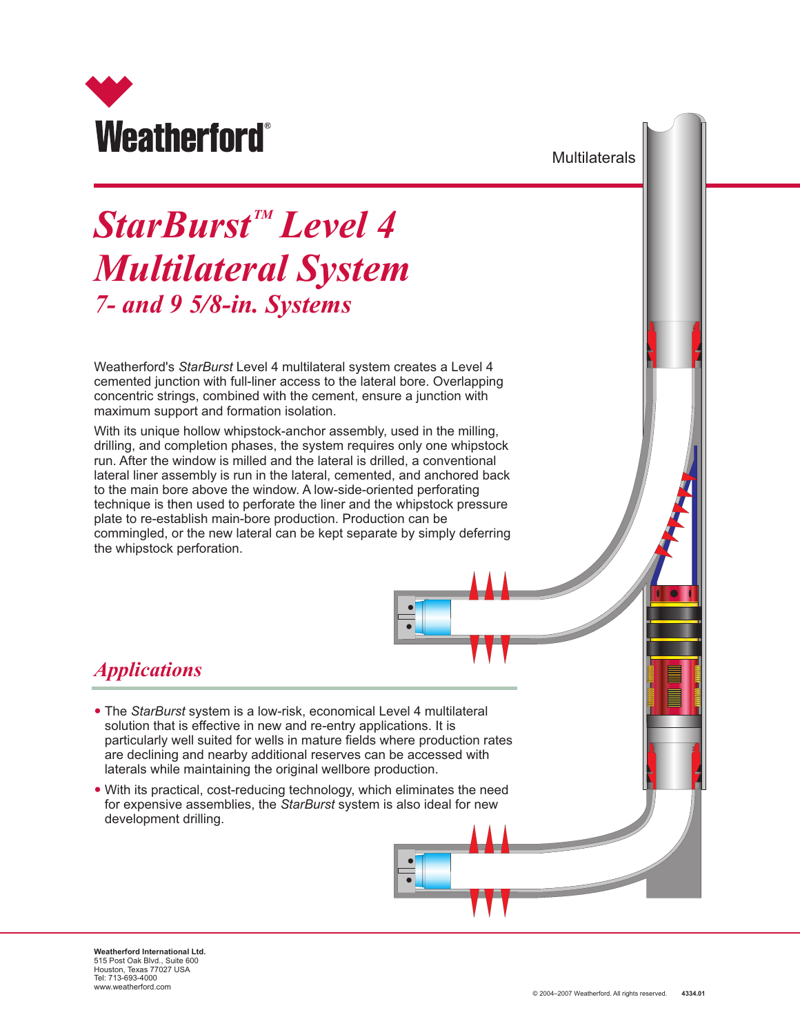

**Multilaterals** 

# $$ *Multilateral System 7- and 9 5/8-in. Systems*

Weatherford's *StarBurst* Level 4 multilateral system creates a Level 4 cemented junction with full-liner access to the lateral bore. Overlapping concentric strings, combined with the cement, ensure a junction with maximum support and formation isolation.

With its unique hollow whipstock-anchor assembly, used in the milling, drilling, and completion phases, the system requires only one whipstock run. After the window is milled and the lateral is drilled, a conventional lateral liner assembly is run in the lateral, cemented, and anchored back to the main bore above the window. A low-side-oriented perforating technique is then used to perforate the liner and the whipstock pressure plate to re-establish main-bore production. Production can be commingled, or the new lateral can be kept separate by simply deferring the whipstock perforation.

#### *Applications*

- The *StarBurst* system is a low-risk, economical Level 4 multilateral solution that is effective in new and re-entry applications. It is particularly well suited for wells in mature fields where production rates are declining and nearby additional reserves can be accessed with laterals while maintaining the original wellbore production.
- With its practical, cost-reducing technology, which eliminates the need for expensive assemblies, the *StarBurst* system is also ideal for new development drilling.

**Weatherford International Ltd.** 515 Post Oak Blvd., Suite 600 Houston, Texas 77027 USA Tel: 713-693-4000 www.weatherford.com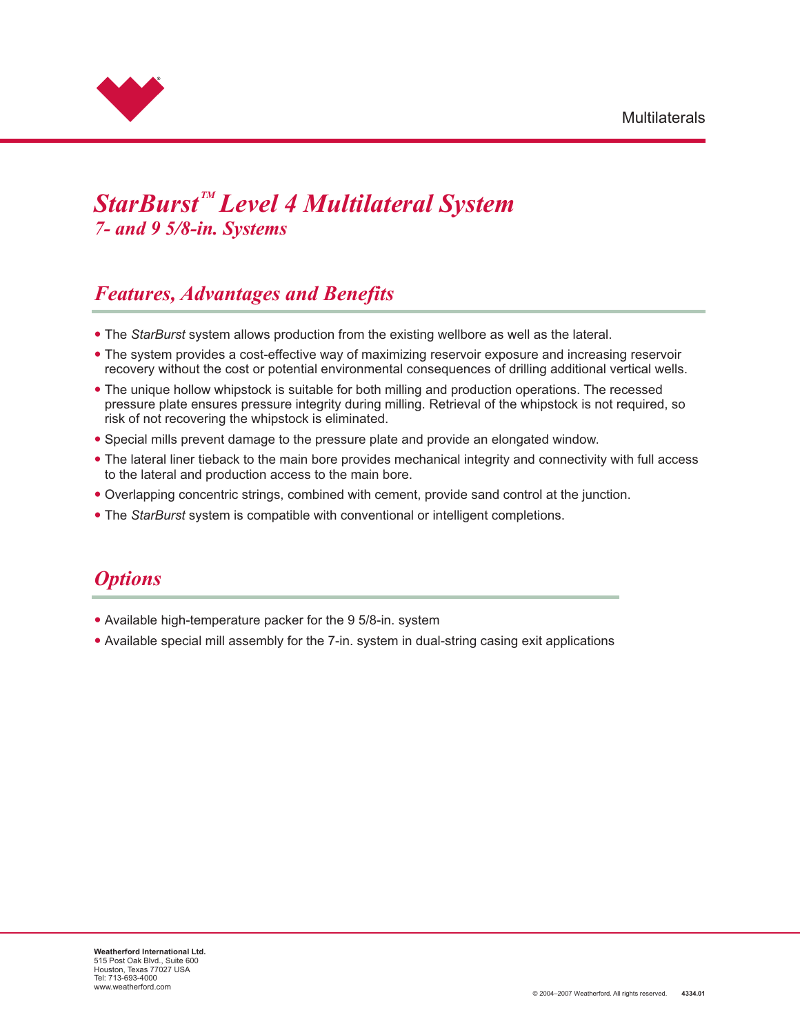

## *TM StarBurst Level 4 Multilateral System 7- and 9 5/8-in. Systems*

#### *Features, Advantages and Benefits*

- The *StarBurst* system allows production from the existing wellbore as well as the lateral.
- The system provides a cost-effective way of maximizing reservoir exposure and increasing reservoir recovery without the cost or potential environmental consequences of drilling additional vertical wells.
- The unique hollow whipstock is suitable for both milling and production operations. The recessed pressure plate ensures pressure integrity during milling. Retrieval of the whipstock is not required, so risk of not recovering the whipstock is eliminated.
- Special mills prevent damage to the pressure plate and provide an elongated window.
- The lateral liner tieback to the main bore provides mechanical integrity and connectivity with full access to the lateral and production access to the main bore.
- Overlapping concentric strings, combined with cement, provide sand control at the junction.
- The *StarBurst* system is compatible with conventional or intelligent completions.

#### *Options*

- Available high-temperature packer for the 9 5/8-in. system
- Available special mill assembly for the 7-in. system in dual-string casing exit applications